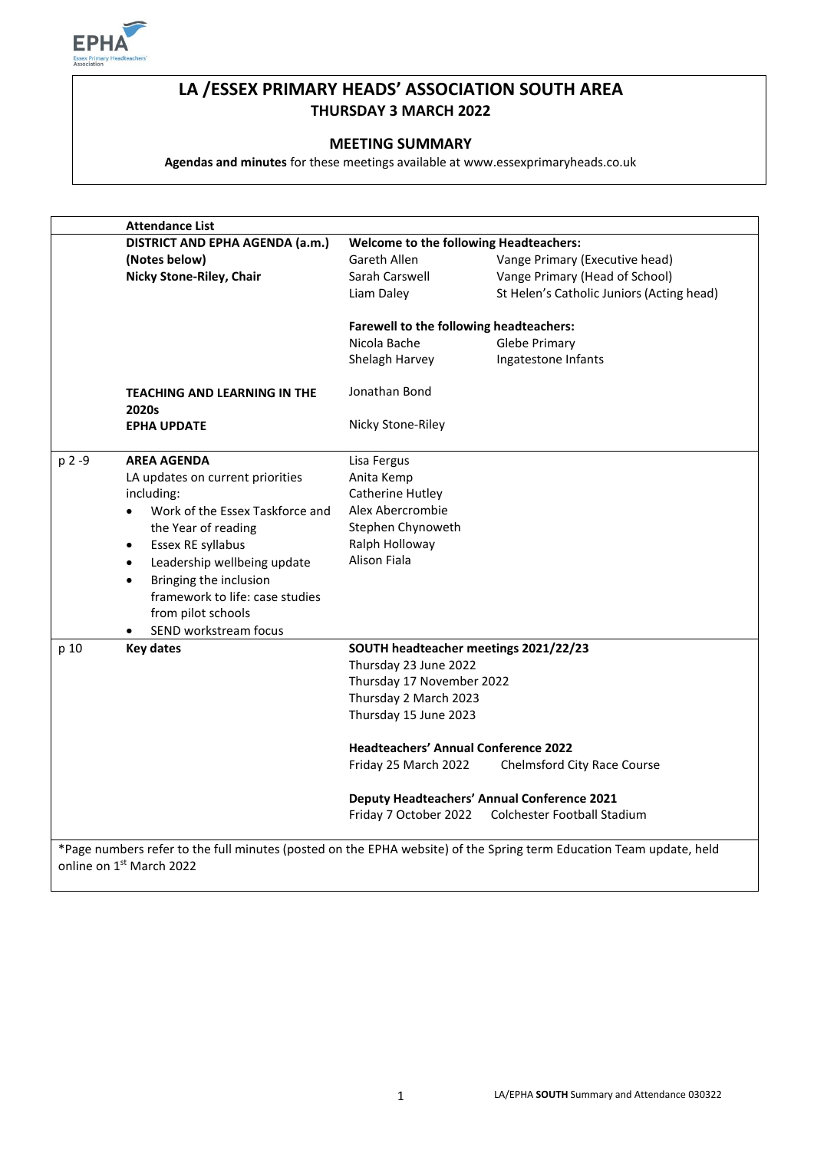

# **LA /ESSEX PRIMARY HEADS' ASSOCIATION SOUTH AREA THURSDAY 3 MARCH 2022**

#### **MEETING SUMMARY**

**Agendas and minutes** for these meetings available at www.essexprimaryheads.co.uk

|        | <b>Attendance List</b>                   |                                                    |                                           |  |
|--------|------------------------------------------|----------------------------------------------------|-------------------------------------------|--|
|        | DISTRICT AND EPHA AGENDA (a.m.)          | <b>Welcome to the following Headteachers:</b>      |                                           |  |
|        | (Notes below)                            | Gareth Allen                                       | Vange Primary (Executive head)            |  |
|        | Nicky Stone-Riley, Chair                 | Sarah Carswell                                     | Vange Primary (Head of School)            |  |
|        |                                          | Liam Daley                                         | St Helen's Catholic Juniors (Acting head) |  |
|        |                                          | Farewell to the following headteachers:            |                                           |  |
|        |                                          | Nicola Bache                                       | Glebe Primary                             |  |
|        |                                          | Shelagh Harvey                                     | Ingatestone Infants                       |  |
|        | TEACHING AND LEARNING IN THE<br>2020s    | Jonathan Bond                                      |                                           |  |
|        | <b>EPHA UPDATE</b>                       | Nicky Stone-Riley                                  |                                           |  |
| p 2 -9 | <b>AREA AGENDA</b>                       | Lisa Fergus                                        |                                           |  |
|        | LA updates on current priorities         | Anita Kemp                                         |                                           |  |
|        | including:                               | Catherine Hutley                                   |                                           |  |
|        | Work of the Essex Taskforce and          | Alex Abercrombie                                   |                                           |  |
|        | the Year of reading                      | Stephen Chynoweth                                  |                                           |  |
|        | Essex RE syllabus<br>$\bullet$           | Ralph Holloway                                     |                                           |  |
|        | Leadership wellbeing update<br>$\bullet$ | <b>Alison Fiala</b>                                |                                           |  |
|        | Bringing the inclusion<br>$\bullet$      |                                                    |                                           |  |
|        | framework to life: case studies          |                                                    |                                           |  |
|        | from pilot schools                       |                                                    |                                           |  |
|        | SEND workstream focus                    |                                                    |                                           |  |
| p 10   | <b>Key dates</b>                         | SOUTH headteacher meetings 2021/22/23              |                                           |  |
|        |                                          | Thursday 23 June 2022                              |                                           |  |
|        |                                          | Thursday 17 November 2022                          |                                           |  |
|        |                                          | Thursday 2 March 2023                              |                                           |  |
|        |                                          | Thursday 15 June 2023                              |                                           |  |
|        |                                          | <b>Headteachers' Annual Conference 2022</b>        |                                           |  |
|        |                                          | Friday 25 March 2022                               | <b>Chelmsford City Race Course</b>        |  |
|        |                                          | <b>Deputy Headteachers' Annual Conference 2021</b> |                                           |  |
|        |                                          | Friday 7 October 2022                              | Colchester Football Stadium               |  |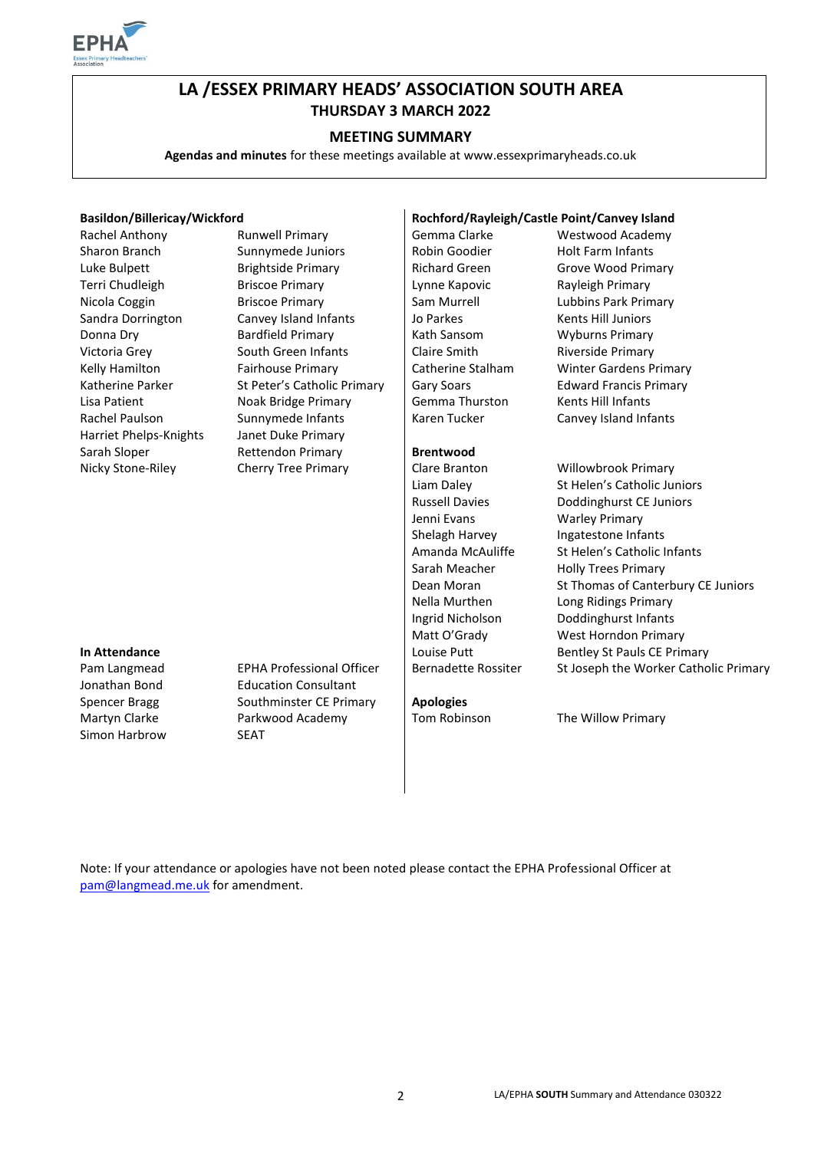

# **LA /ESSEX PRIMARY HEADS' ASSOCIATION SOUTH AREA THURSDAY 3 MARCH 2022**

#### **MEETING SUMMARY**

**Agendas and minutes** for these meetings available at www.essexprimaryheads.co.uk

#### **Basildon/Billericay/Wickford Rochford/Rayleigh/Castle Point/Canvey Island**

| Rachel Anthony         | <b>Runwell Primary</b>           | Gemma Clarke               | Westwood Academy                      |
|------------------------|----------------------------------|----------------------------|---------------------------------------|
| Sharon Branch          | Sunnymede Juniors                | Robin Goodier              | <b>Holt Farm Infants</b>              |
| Luke Bulpett           | <b>Brightside Primary</b>        | <b>Richard Green</b>       | Grove Wood Primary                    |
| Terri Chudleigh        | <b>Briscoe Primary</b>           | Lynne Kapovic              | Rayleigh Primary                      |
| Nicola Coggin          | <b>Briscoe Primary</b>           | Sam Murrell                | Lubbins Park Primary                  |
| Sandra Dorrington      | Canvey Island Infants            | Jo Parkes                  | Kents Hill Juniors                    |
| Donna Dry              | <b>Bardfield Primary</b>         | Kath Sansom                | <b>Wyburns Primary</b>                |
| Victoria Grey          | South Green Infants              | Claire Smith               | Riverside Primary                     |
| Kelly Hamilton         | Fairhouse Primary                | Catherine Stalham          | <b>Winter Gardens Primary</b>         |
| Katherine Parker       | St Peter's Catholic Primary      | Gary Soars                 | <b>Edward Francis Primary</b>         |
| Lisa Patient           | Noak Bridge Primary              | Gemma Thurston             | Kents Hill Infants                    |
| Rachel Paulson         | Sunnymede Infants                | Karen Tucker               | Canvey Island Infants                 |
| Harriet Phelps-Knights | Janet Duke Primary               |                            |                                       |
| Sarah Sloper           | <b>Rettendon Primary</b>         | <b>Brentwood</b>           |                                       |
| Nicky Stone-Riley      | <b>Cherry Tree Primary</b>       | Clare Branton              | Willowbrook Primary                   |
|                        |                                  | Liam Daley                 | St Helen's Catholic Juniors           |
|                        |                                  | <b>Russell Davies</b>      | Doddinghurst CE Juniors               |
|                        |                                  | Jenni Evans                | <b>Warley Primary</b>                 |
|                        |                                  | Shelagh Harvey             | Ingatestone Infants                   |
|                        |                                  | Amanda McAuliffe           | St Helen's Catholic Infants           |
|                        |                                  | Sarah Meacher              | <b>Holly Trees Primary</b>            |
|                        |                                  | Dean Moran                 | St Thomas of Canterbury CE Juniors    |
|                        |                                  | Nella Murthen              | Long Ridings Primary                  |
|                        |                                  | Ingrid Nicholson           | Doddinghurst Infants                  |
|                        |                                  | Matt O'Grady               | West Horndon Primary                  |
| In Attendance          |                                  | Louise Putt                | <b>Bentley St Pauls CE Primary</b>    |
| Pam Langmead           | <b>EPHA Professional Officer</b> | <b>Bernadette Rossiter</b> | St Joseph the Worker Catholic Primary |
| Jonathan Bond          | <b>Education Consultant</b>      |                            |                                       |
| <b>Spencer Bragg</b>   | Southminster CE Primary          | <b>Apologies</b>           |                                       |
| Martyn Clarke          | Parkwood Academy                 | Tom Robinson               | The Willow Primary                    |
| Simon Harbrow          | <b>SEAT</b>                      |                            |                                       |
|                        |                                  |                            |                                       |

Note: If your attendance or apologies have not been noted please contact the EPHA Professional Officer at [pam@langmead.me.uk](mailto:pam@langmead.me.uk) for amendment.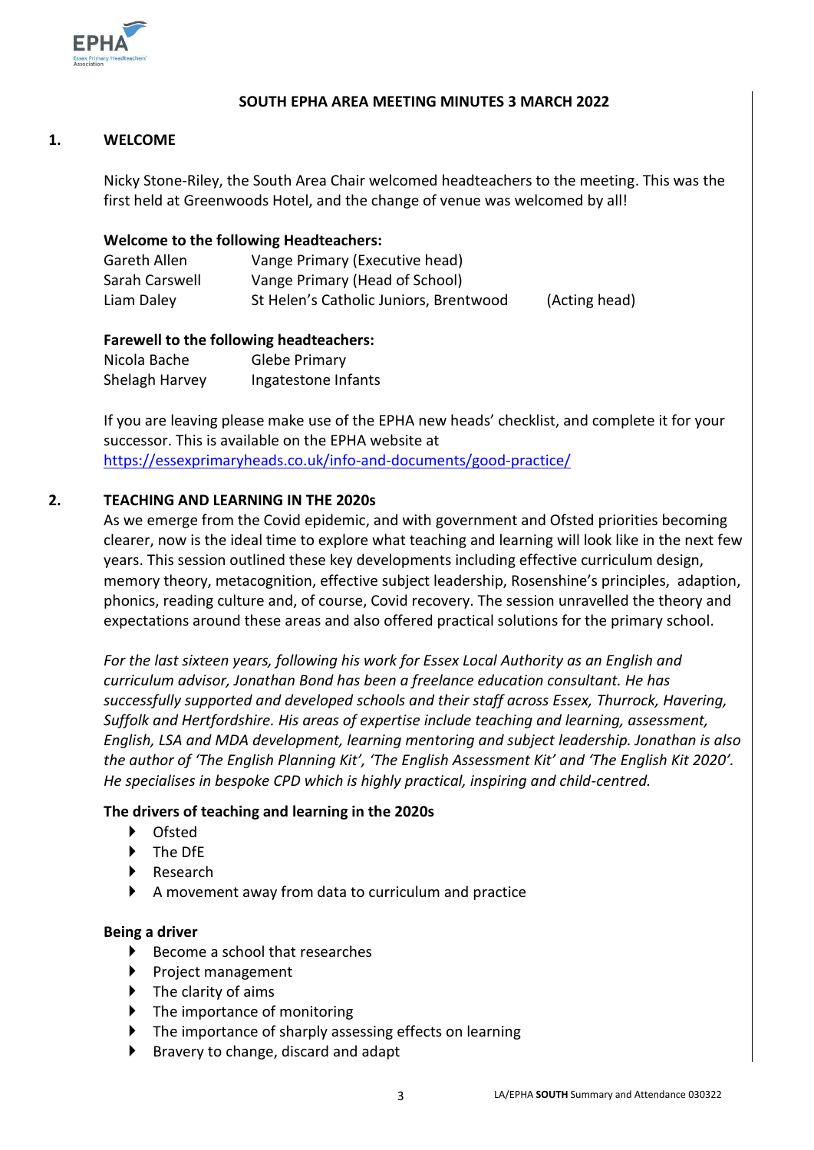

### **SOUTH EPHA AREA MEETING MINUTES 3 MARCH 2022**

## **1. WELCOME**

Nicky Stone-Riley, the South Area Chair welcomed headteachers to the meeting. This was the first held at Greenwoods Hotel, and the change of venue was welcomed by all!

#### **Welcome to the following Headteachers:**

| Gareth Allen   | Vange Primary (Executive head)         |               |
|----------------|----------------------------------------|---------------|
| Sarah Carswell | Vange Primary (Head of School)         |               |
| Liam Daley     | St Helen's Catholic Juniors, Brentwood | (Acting head) |

#### **Farewell to the following headteachers:**

Nicola Bache Glebe Primary Shelagh Harvey Ingatestone Infants

If you are leaving please make use of the EPHA new heads' checklist, and complete it for your successor. This is available on the EPHA website at <https://essexprimaryheads.co.uk/info-and-documents/good-practice/>

#### **2. TEACHING AND LEARNING IN THE 2020s**

As we emerge from the Covid epidemic, and with government and Ofsted priorities becoming clearer, now is the ideal time to explore what teaching and learning will look like in the next few years. This session outlined these key developments including effective curriculum design, memory theory, metacognition, effective subject leadership, Rosenshine's principles, adaption, phonics, reading culture and, of course, Covid recovery. The session unravelled the theory and expectations around these areas and also offered practical solutions for the primary school.

*For the last sixteen years, following his work for Essex Local Authority as an English and curriculum advisor, Jonathan Bond has been a freelance education consultant. He has successfully supported and developed schools and their staff across Essex, Thurrock, Havering, Suffolk and Hertfordshire. His areas of expertise include teaching and learning, assessment, English, LSA and MDA development, learning mentoring and subject leadership. Jonathan is also the author of 'The English Planning Kit', 'The English Assessment Kit' and 'The English Kit 2020'. He specialises in bespoke CPD which is highly practical, inspiring and child-centred.*

#### **The drivers of teaching and learning in the 2020s**

- Ofsted
- > The DfF
- ▶ Research
- A movement away from data to curriculum and practice

#### **Being a driver**

- $\blacktriangleright$  Become a school that researches
- $\triangleright$  Project management
- $\blacktriangleright$  The clarity of aims
- $\blacktriangleright$  The importance of monitoring
- ▶ The importance of sharply assessing effects on learning
- ▶ Bravery to change, discard and adapt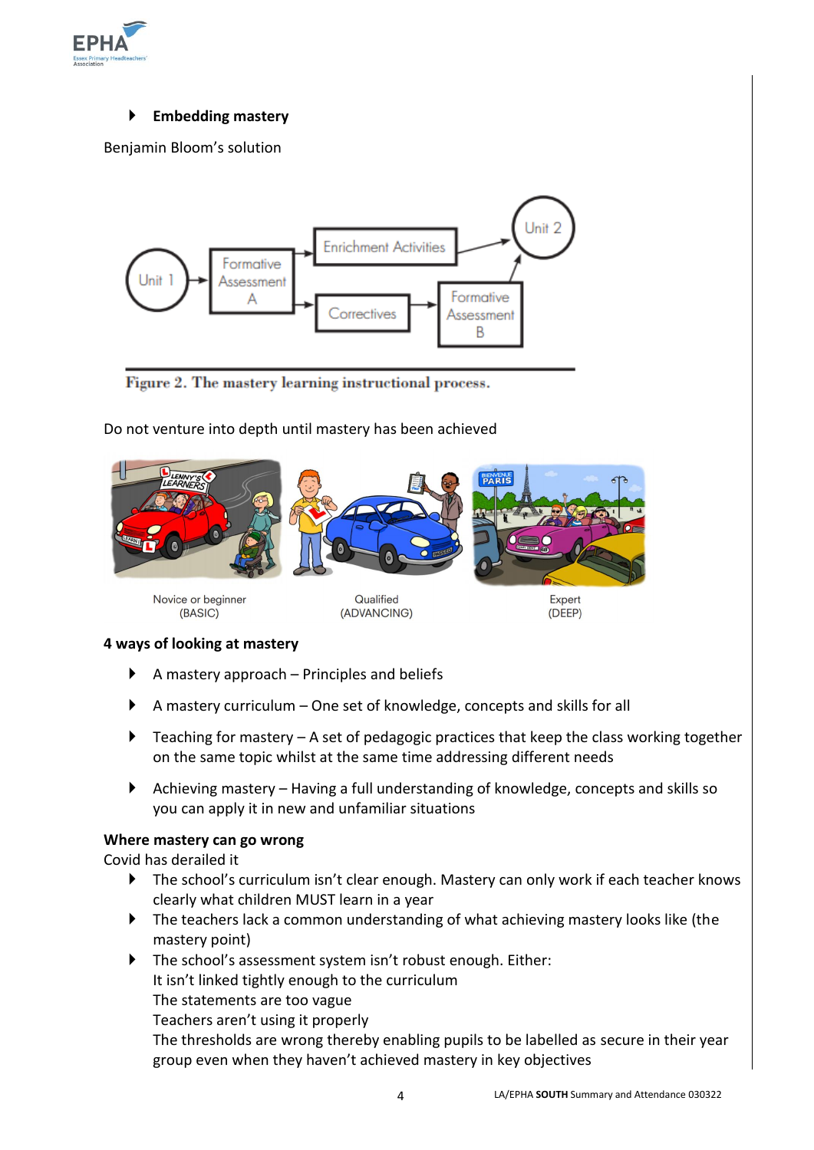

## **Embedding mastery**

Benjamin Bloom's solution



Figure 2. The mastery learning instructional process.

## Do not venture into depth until mastery has been achieved



#### **4 ways of looking at mastery**

- $\blacktriangleright$  A mastery approach Principles and beliefs
- A mastery curriculum One set of knowledge, concepts and skills for all
- $\blacktriangleright$  Teaching for mastery A set of pedagogic practices that keep the class working together on the same topic whilst at the same time addressing different needs
- Achieving mastery Having a full understanding of knowledge, concepts and skills so you can apply it in new and unfamiliar situations

#### **Where mastery can go wrong**

#### Covid has derailed it

- ▶ The school's curriculum isn't clear enough. Mastery can only work if each teacher knows clearly what children MUST learn in a year
- The teachers lack a common understanding of what achieving mastery looks like (the mastery point)
- ▶ The school's assessment system isn't robust enough. Either: It isn't linked tightly enough to the curriculum The statements are too vague Teachers aren't using it properly

The thresholds are wrong thereby enabling pupils to be labelled as secure in their year group even when they haven't achieved mastery in key objectives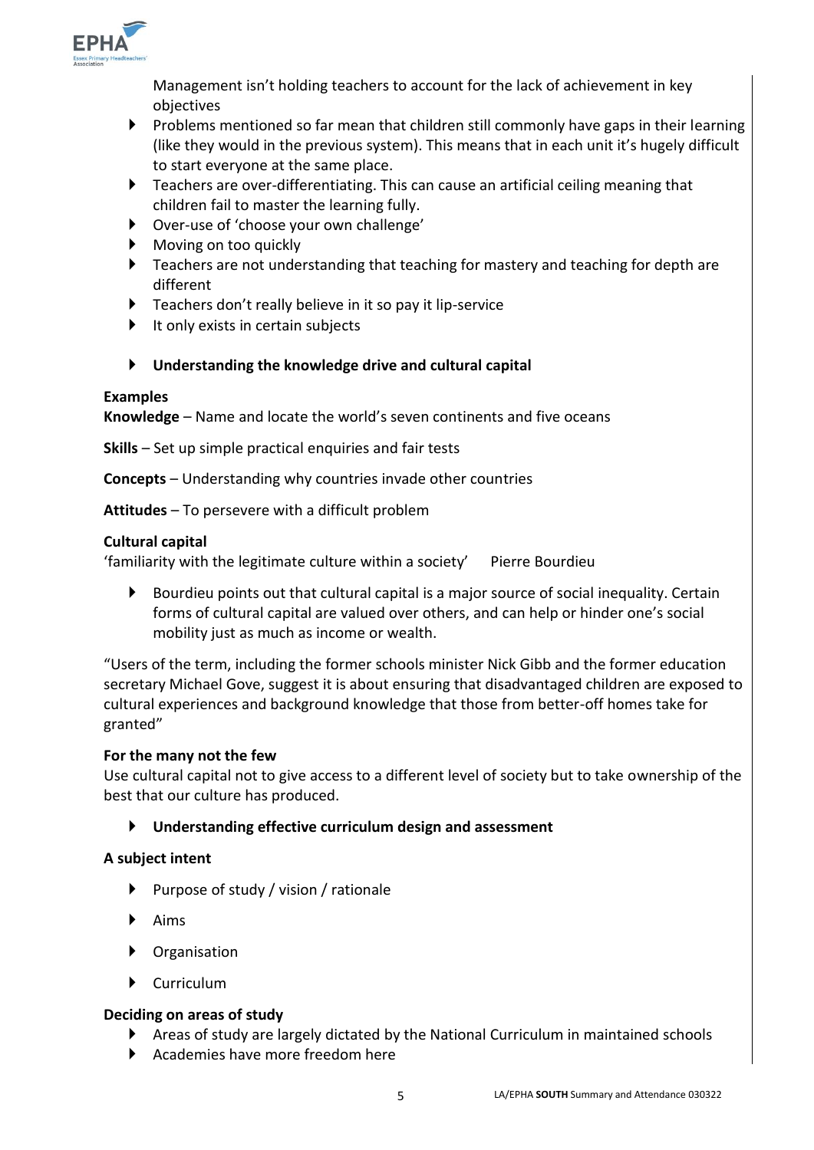

Management isn't holding teachers to account for the lack of achievement in key objectives

- $\blacktriangleright$  Problems mentioned so far mean that children still commonly have gaps in their learning (like they would in the previous system). This means that in each unit it's hugely difficult to start everyone at the same place.
- Teachers are over-differentiating. This can cause an artificial ceiling meaning that children fail to master the learning fully.
- Over-use of 'choose your own challenge'
- Moving on too quickly
- Teachers are not understanding that teaching for mastery and teaching for depth are different
- Teachers don't really believe in it so pay it lip-service
- $\blacktriangleright$  It only exists in certain subjects

# **Understanding the knowledge drive and cultural capital**

## **Examples**

**Knowledge** – Name and locate the world's seven continents and five oceans

**Skills** – Set up simple practical enquiries and fair tests

**Concepts** – Understanding why countries invade other countries

**Attitudes** – To persevere with a difficult problem

## **Cultural capital**

'familiarity with the legitimate culture within a society' Pierre Bourdieu

 Bourdieu points out that cultural capital is a major source of social inequality. Certain forms of cultural capital are valued over others, and can help or hinder one's social mobility just as much as income or wealth.

"Users of the term, including the former schools minister Nick Gibb and the former education secretary Michael Gove, suggest it is about ensuring that disadvantaged children are exposed to cultural experiences and background knowledge that those from better-off homes take for granted"

## **For the many not the few**

Use cultural capital not to give access to a different level of society but to take ownership of the best that our culture has produced.

## **Understanding effective curriculum design and assessment**

## **A subject intent**

- $\blacktriangleright$  Purpose of study / vision / rationale
- $\blacktriangleright$  Aims
- Organisation
- Curriculum

## **Deciding on areas of study**

- Areas of study are largely dictated by the National Curriculum in maintained schools
- Academies have more freedom here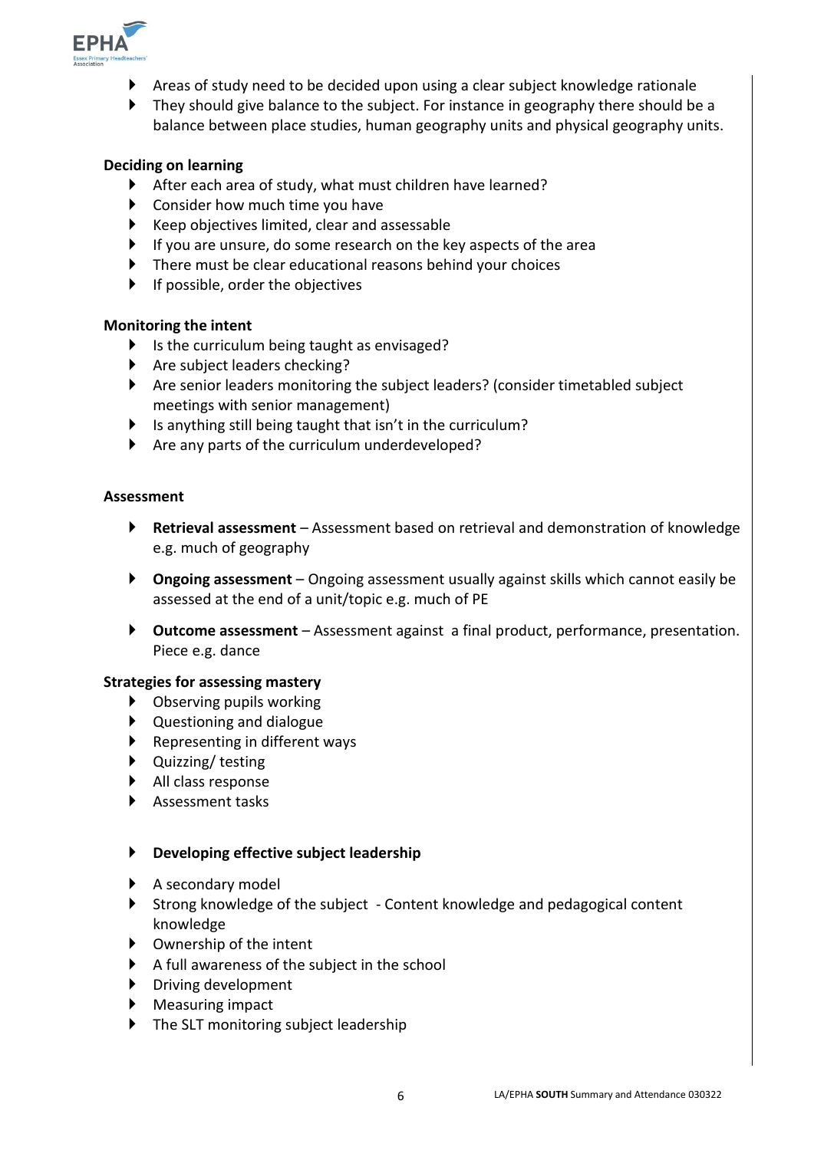

- Areas of study need to be decided upon using a clear subject knowledge rationale
- ▶ They should give balance to the subject. For instance in geography there should be a balance between place studies, human geography units and physical geography units.

## **Deciding on learning**

- After each area of study, what must children have learned?
- ▶ Consider how much time you have
- $\blacktriangleright$  Keep objectives limited, clear and assessable
- If you are unsure, do some research on the key aspects of the area
- There must be clear educational reasons behind your choices
- If possible, order the objectives

#### **Monitoring the intent**

- $\blacktriangleright$  Is the curriculum being taught as envisaged?
- ▶ Are subject leaders checking?
- Are senior leaders monitoring the subject leaders? (consider timetabled subject meetings with senior management)
- Is anything still being taught that isn't in the curriculum?
- Are any parts of the curriculum underdeveloped?

#### **Assessment**

- **Retrieval assessment**  Assessment based on retrieval and demonstration of knowledge e.g. much of geography
- **Ongoing assessment**  Ongoing assessment usually against skills which cannot easily be assessed at the end of a unit/topic e.g. much of PE
- **Outcome assessment**  Assessment against a final product, performance, presentation. Piece e.g. dance

#### **Strategies for assessing mastery**

- ▶ Observing pupils working
- Questioning and dialogue
- $\blacktriangleright$  Representing in different ways
- ▶ Quizzing/ testing
- All class response
- Assessment tasks

#### **Developing effective subject leadership**

- $\blacktriangleright$  A secondary model
- Strong knowledge of the subject Content knowledge and pedagogical content knowledge
- $\triangleright$  Ownership of the intent
- $\blacktriangleright$  A full awareness of the subject in the school
- $\triangleright$  Driving development
- ▶ Measuring impact
- ▶ The SLT monitoring subject leadership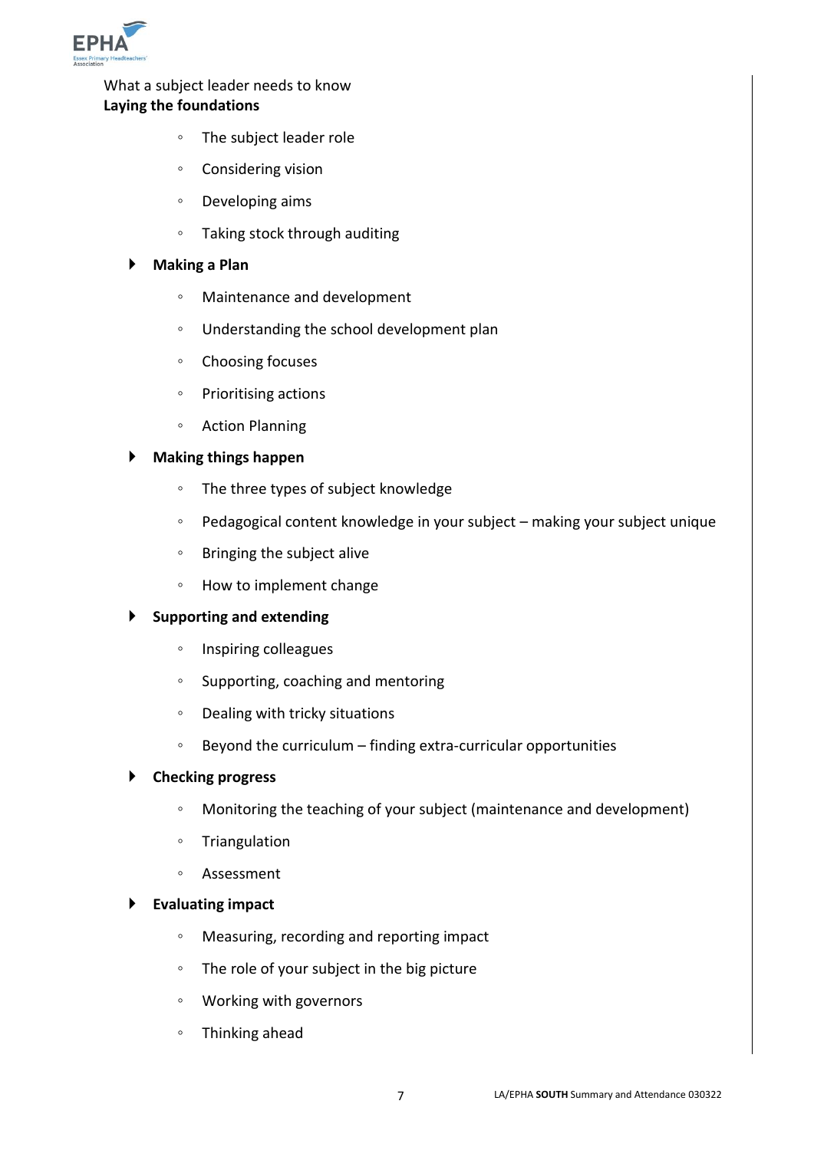

What a subject leader needs to know **Laying the foundations**

- The subject leader role
- Considering vision
- Developing aims
- Taking stock through auditing

#### **Making a Plan**

- Maintenance and development
- Understanding the school development plan
- Choosing focuses
- Prioritising actions
- Action Planning

## **Making things happen**

- The three types of subject knowledge
- Pedagogical content knowledge in your subject making your subject unique
- Bringing the subject alive
- How to implement change

#### **Supporting and extending**

- Inspiring colleagues
- Supporting, coaching and mentoring
- Dealing with tricky situations
- Beyond the curriculum finding extra-curricular opportunities

### **Checking progress**

- Monitoring the teaching of your subject (maintenance and development)
- Triangulation
- Assessment

#### **Evaluating impact**

- Measuring, recording and reporting impact
- The role of your subject in the big picture
- Working with governors
- Thinking ahead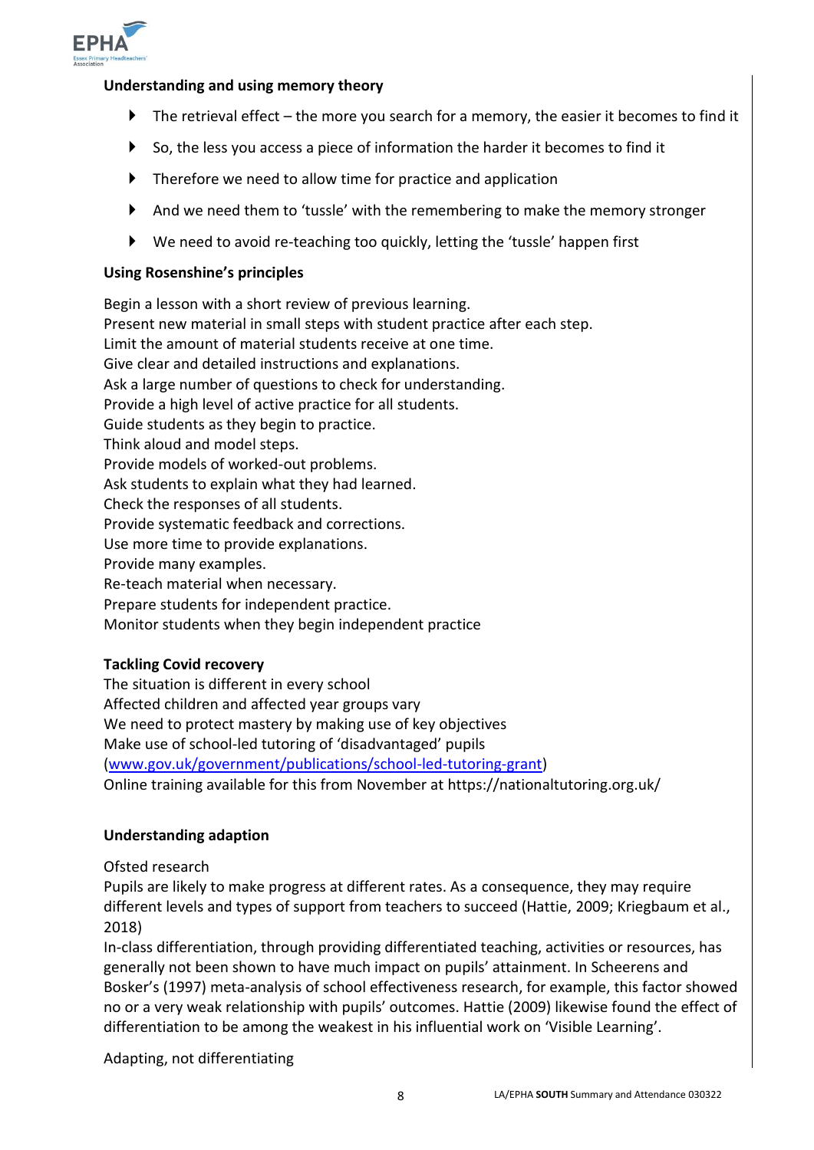

## **Understanding and using memory theory**

- $\blacktriangleright$  The retrieval effect the more you search for a memory, the easier it becomes to find it
- $\triangleright$  So, the less you access a piece of information the harder it becomes to find it
- $\blacktriangleright$  Therefore we need to allow time for practice and application
- And we need them to 'tussle' with the remembering to make the memory stronger
- We need to avoid re-teaching too quickly, letting the 'tussle' happen first

## **Using Rosenshine's principles**

Begin a lesson with a short review of previous learning. Present new material in small steps with student practice after each step. Limit the amount of material students receive at one time. Give clear and detailed instructions and explanations. Ask a large number of questions to check for understanding. Provide a high level of active practice for all students. Guide students as they begin to practice. Think aloud and model steps. Provide models of worked-out problems. Ask students to explain what they had learned. Check the responses of all students. Provide systematic feedback and corrections. Use more time to provide explanations. Provide many examples. Re-teach material when necessary. Prepare students for independent practice. Monitor students when they begin independent practice

## **Tackling Covid recovery**

The situation is different in every school Affected children and affected year groups vary We need to protect mastery by making use of key objectives Make use of school-led tutoring of 'disadvantaged' pupils [\(www.gov.uk/government/publications/school-led-tutoring-grant\)](http://www.gov.uk/government/publications/school-led-tutoring-grant) Online training available for this from November at https://nationaltutoring.org.uk/

#### **Understanding adaption**

Ofsted research

Pupils are likely to make progress at different rates. As a consequence, they may require different levels and types of support from teachers to succeed (Hattie, 2009; Kriegbaum et al., 2018)

In-class differentiation, through providing differentiated teaching, activities or resources, has generally not been shown to have much impact on pupils' attainment. In Scheerens and Bosker's (1997) meta-analysis of school effectiveness research, for example, this factor showed no or a very weak relationship with pupils' outcomes. Hattie (2009) likewise found the effect of differentiation to be among the weakest in his influential work on 'Visible Learning'.

Adapting, not differentiating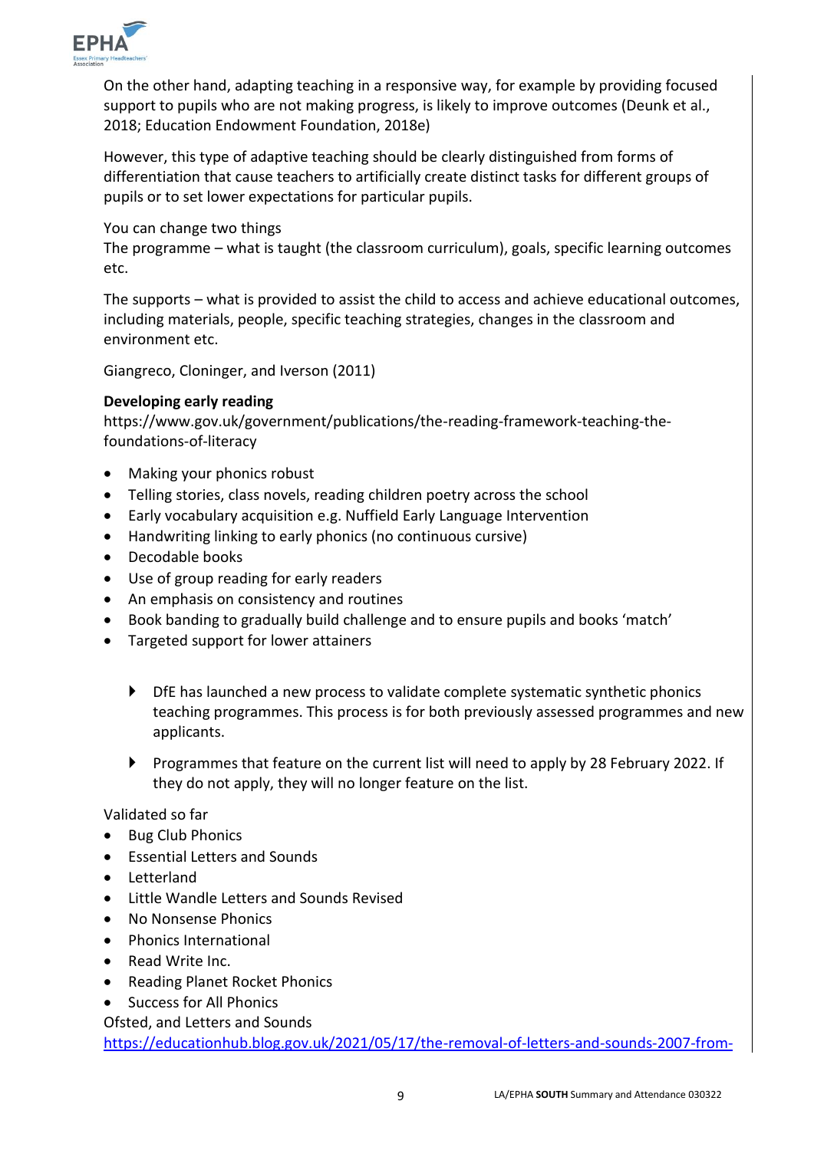

On the other hand, adapting teaching in a responsive way, for example by providing focused support to pupils who are not making progress, is likely to improve outcomes (Deunk et al., 2018; Education Endowment Foundation, 2018e)

However, this type of adaptive teaching should be clearly distinguished from forms of differentiation that cause teachers to artificially create distinct tasks for different groups of pupils or to set lower expectations for particular pupils.

You can change two things

The programme – what is taught (the classroom curriculum), goals, specific learning outcomes etc.

The supports – what is provided to assist the child to access and achieve educational outcomes, including materials, people, specific teaching strategies, changes in the classroom and environment etc.

Giangreco, Cloninger, and Iverson (2011)

## **Developing early reading**

https://www.gov.uk/government/publications/the-reading-framework-teaching-thefoundations-of-literacy

- Making your phonics robust
- Telling stories, class novels, reading children poetry across the school
- Early vocabulary acquisition e.g. Nuffield Early Language Intervention
- Handwriting linking to early phonics (no continuous cursive)
- Decodable books
- Use of group reading for early readers
- An emphasis on consistency and routines
- Book banding to gradually build challenge and to ensure pupils and books 'match'
- Targeted support for lower attainers
	- DfE has launched a new process to validate complete systematic synthetic phonics teaching programmes. This process is for both previously assessed programmes and new applicants.
	- Programmes that feature on the current list will need to apply by 28 February 2022. If they do not apply, they will no longer feature on the list.

Validated so far

- Bug Club Phonics
- Essential Letters and Sounds
- Letterland
- Little Wandle Letters and Sounds Revised
- No Nonsense Phonics
- Phonics International
- Read Write Inc.
- Reading Planet Rocket Phonics
- Success for All Phonics

Ofsted, and Letters and Sounds

[https://educationhub.blog.gov.uk/2021/05/17/the-removal-of-letters-and-sounds-2007-from-](https://educationhub.blog.gov.uk/2021/05/17/the-removal-of-letters-and-sounds-2007-from-the-departments-list-of-validated-phonics-programmes-teachers-questions-answered/)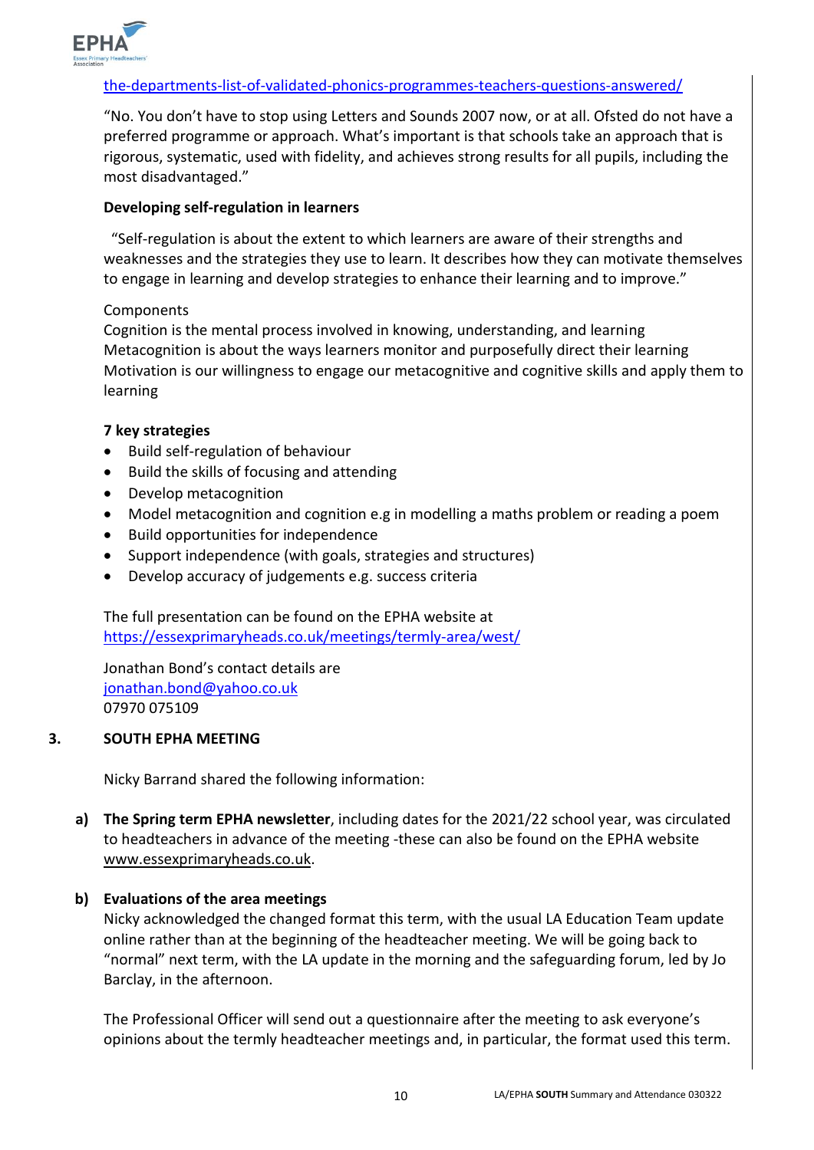

## [the-departments-list-of-validated-phonics-programmes-teachers-questions-answered/](https://educationhub.blog.gov.uk/2021/05/17/the-removal-of-letters-and-sounds-2007-from-the-departments-list-of-validated-phonics-programmes-teachers-questions-answered/)

"No. You don't have to stop using Letters and Sounds 2007 now, or at all. Ofsted do not have a preferred programme or approach. What's important is that schools take an approach that is rigorous, systematic, used with fidelity, and achieves strong results for all pupils, including the most disadvantaged."

#### **Developing self-regulation in learners**

 "Self-regulation is about the extent to which learners are aware of their strengths and weaknesses and the strategies they use to learn. It describes how they can motivate themselves to engage in learning and develop strategies to enhance their learning and to improve."

#### Components

Cognition is the mental process involved in knowing, understanding, and learning Metacognition is about the ways learners monitor and purposefully direct their learning Motivation is our willingness to engage our metacognitive and cognitive skills and apply them to learning

#### **7 key strategies**

- Build self-regulation of behaviour
- Build the skills of focusing and attending
- Develop metacognition
- Model metacognition and cognition e.g in modelling a maths problem or reading a poem
- Build opportunities for independence
- Support independence (with goals, strategies and structures)
- Develop accuracy of judgements e.g. success criteria

The full presentation can be found on the EPHA website at <https://essexprimaryheads.co.uk/meetings/termly-area/west/>

Jonathan Bond's contact details are [jonathan.bond@yahoo.co.uk](mailto:jonathan.bond@yahoo.co.uk) 07970 075109

#### **3. SOUTH EPHA MEETING**

Nicky Barrand shared the following information:

**a) The Spring term EPHA newsletter**, including dates for the 2021/22 school year, was circulated to headteachers in advance of the meeting -these can also be found on the EPHA website [www.essexprimaryheads.co.uk.](http://www.essexprimaryheads.co.uk/)

## **b) Evaluations of the area meetings**

Nicky acknowledged the changed format this term, with the usual LA Education Team update online rather than at the beginning of the headteacher meeting. We will be going back to "normal" next term, with the LA update in the morning and the safeguarding forum, led by Jo Barclay, in the afternoon.

The Professional Officer will send out a questionnaire after the meeting to ask everyone's opinions about the termly headteacher meetings and, in particular, the format used this term.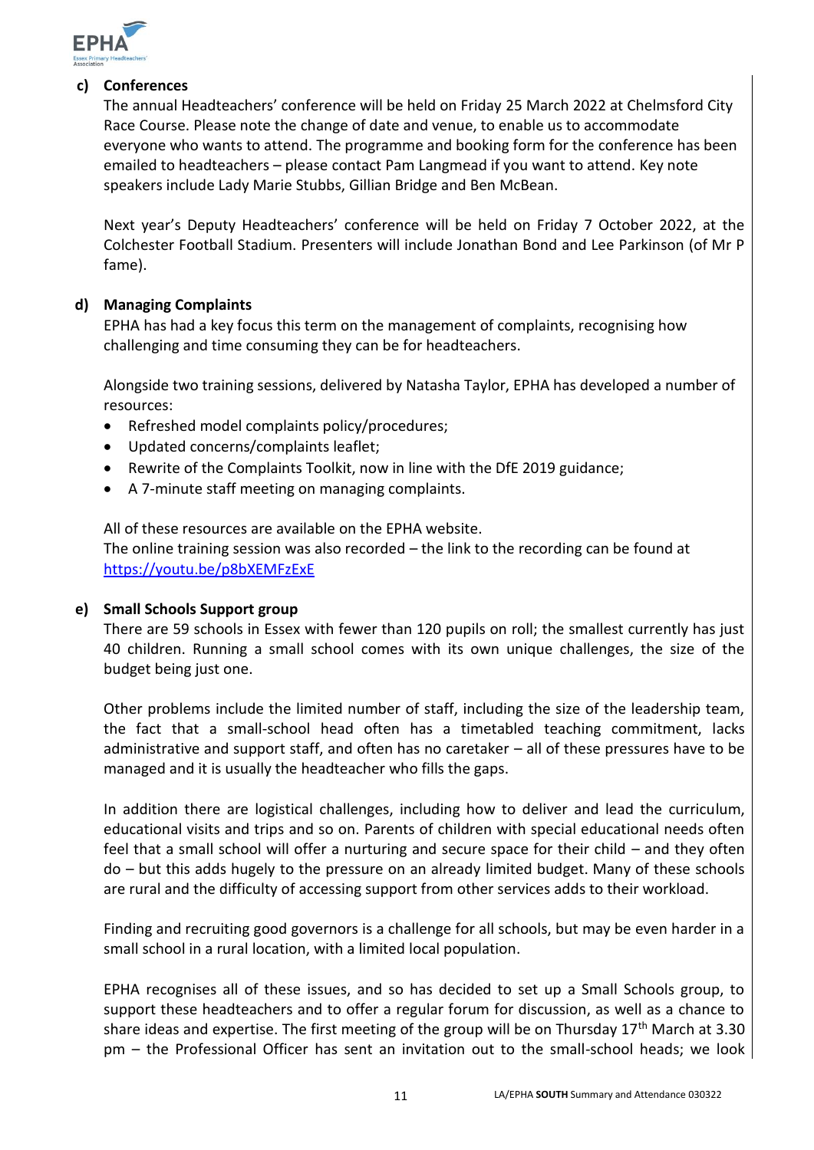

## **c) Conferences**

The annual Headteachers' conference will be held on Friday 25 March 2022 at Chelmsford City Race Course. Please note the change of date and venue, to enable us to accommodate everyone who wants to attend. The programme and booking form for the conference has been emailed to headteachers – please contact Pam Langmead if you want to attend. Key note speakers include Lady Marie Stubbs, Gillian Bridge and Ben McBean.

Next year's Deputy Headteachers' conference will be held on Friday 7 October 2022, at the Colchester Football Stadium. Presenters will include Jonathan Bond and Lee Parkinson (of Mr P fame).

## **d) Managing Complaints**

EPHA has had a key focus this term on the management of complaints, recognising how challenging and time consuming they can be for headteachers.

Alongside two training sessions, delivered by Natasha Taylor, EPHA has developed a number of resources:

- Refreshed model complaints policy/procedures;
- Updated concerns/complaints leaflet;
- Rewrite of the Complaints Toolkit, now in line with the DfE 2019 guidance;
- A 7-minute staff meeting on managing complaints.

All of these resources are available on the EPHA website.

The online training session was also recorded – the link to the recording can be found at <https://youtu.be/p8bXEMFzExE>

### **e) Small Schools Support group**

There are 59 schools in Essex with fewer than 120 pupils on roll; the smallest currently has just 40 children. Running a small school comes with its own unique challenges, the size of the budget being just one.

Other problems include the limited number of staff, including the size of the leadership team, the fact that a small-school head often has a timetabled teaching commitment, lacks administrative and support staff, and often has no caretaker – all of these pressures have to be managed and it is usually the headteacher who fills the gaps.

In addition there are logistical challenges, including how to deliver and lead the curriculum, educational visits and trips and so on. Parents of children with special educational needs often feel that a small school will offer a nurturing and secure space for their child – and they often do – but this adds hugely to the pressure on an already limited budget. Many of these schools are rural and the difficulty of accessing support from other services adds to their workload.

Finding and recruiting good governors is a challenge for all schools, but may be even harder in a small school in a rural location, with a limited local population.

EPHA recognises all of these issues, and so has decided to set up a Small Schools group, to support these headteachers and to offer a regular forum for discussion, as well as a chance to share ideas and expertise. The first meeting of the group will be on Thursday 17<sup>th</sup> March at 3.30 pm – the Professional Officer has sent an invitation out to the small-school heads; we look